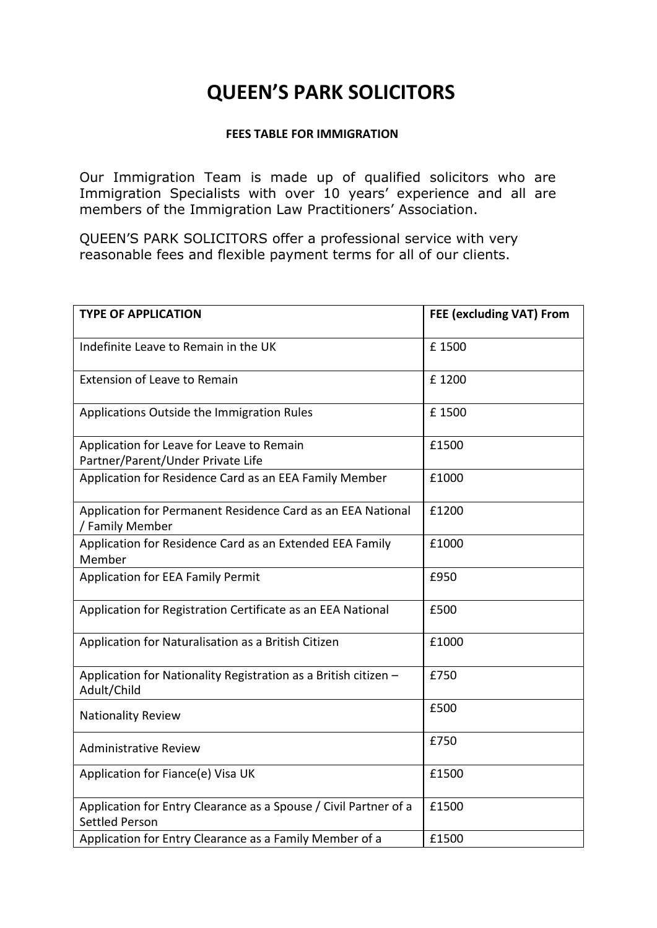# **QUEEN'S PARK SOLICITORS**

#### **FEES TABLE FOR IMMIGRATION**

Our Immigration Team is made up of qualified solicitors who are Immigration Specialists with over 10 years' experience and all are members of the Immigration Law Practitioners' Association.

QUEEN'S PARK SOLICITORS offer a professional service with very reasonable fees and flexible payment terms for all of our clients.

| <b>TYPE OF APPLICATION</b>                                                                | FEE (excluding VAT) From |
|-------------------------------------------------------------------------------------------|--------------------------|
| Indefinite Leave to Remain in the UK                                                      | £1500                    |
| <b>Extension of Leave to Remain</b>                                                       | £1200                    |
| Applications Outside the Immigration Rules                                                | £1500                    |
| Application for Leave for Leave to Remain<br>Partner/Parent/Under Private Life            | £1500                    |
| Application for Residence Card as an EEA Family Member                                    | £1000                    |
| Application for Permanent Residence Card as an EEA National<br>/ Family Member            | £1200                    |
| Application for Residence Card as an Extended EEA Family<br>Member                        | £1000                    |
| Application for EEA Family Permit                                                         | £950                     |
| Application for Registration Certificate as an EEA National                               | £500                     |
| Application for Naturalisation as a British Citizen                                       | £1000                    |
| Application for Nationality Registration as a British citizen -<br>Adult/Child            | £750                     |
| <b>Nationality Review</b>                                                                 | £500                     |
| <b>Administrative Review</b>                                                              | £750                     |
| Application for Fiance(e) Visa UK                                                         | £1500                    |
| Application for Entry Clearance as a Spouse / Civil Partner of a<br><b>Settled Person</b> | £1500                    |
| Application for Entry Clearance as a Family Member of a                                   | £1500                    |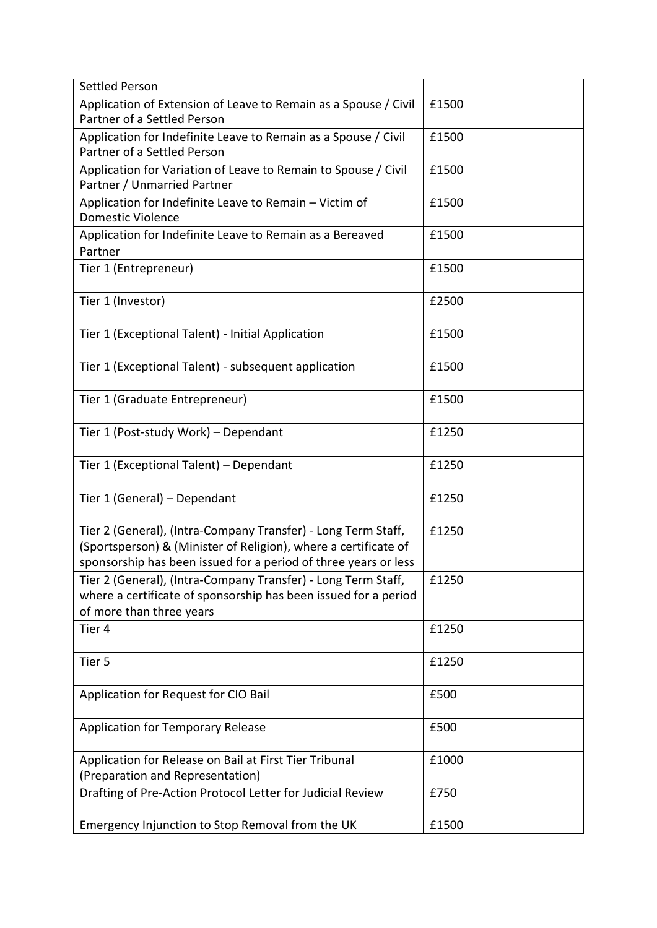| <b>Settled Person</b>                                                                                                                                                                               |       |
|-----------------------------------------------------------------------------------------------------------------------------------------------------------------------------------------------------|-------|
| Application of Extension of Leave to Remain as a Spouse / Civil<br>Partner of a Settled Person                                                                                                      | £1500 |
| Application for Indefinite Leave to Remain as a Spouse / Civil<br>Partner of a Settled Person                                                                                                       | £1500 |
| Application for Variation of Leave to Remain to Spouse / Civil<br>Partner / Unmarried Partner                                                                                                       | £1500 |
| Application for Indefinite Leave to Remain - Victim of<br><b>Domestic Violence</b>                                                                                                                  | £1500 |
| Application for Indefinite Leave to Remain as a Bereaved<br>Partner                                                                                                                                 | £1500 |
| Tier 1 (Entrepreneur)                                                                                                                                                                               | £1500 |
| Tier 1 (Investor)                                                                                                                                                                                   | £2500 |
| Tier 1 (Exceptional Talent) - Initial Application                                                                                                                                                   | £1500 |
| Tier 1 (Exceptional Talent) - subsequent application                                                                                                                                                | £1500 |
| Tier 1 (Graduate Entrepreneur)                                                                                                                                                                      | £1500 |
| Tier 1 (Post-study Work) - Dependant                                                                                                                                                                | £1250 |
| Tier 1 (Exceptional Talent) - Dependant                                                                                                                                                             | £1250 |
| Tier 1 (General) - Dependant                                                                                                                                                                        | £1250 |
| Tier 2 (General), (Intra-Company Transfer) - Long Term Staff,<br>(Sportsperson) & (Minister of Religion), where a certificate of<br>sponsorship has been issued for a period of three years or less | £1250 |
| Tier 2 (General), (Intra-Company Transfer) - Long Term Staff,<br>where a certificate of sponsorship has been issued for a period<br>of more than three years                                        | £1250 |
| Tier 4                                                                                                                                                                                              | £1250 |
| Tier 5                                                                                                                                                                                              | £1250 |
| Application for Request for CIO Bail                                                                                                                                                                | £500  |
| <b>Application for Temporary Release</b>                                                                                                                                                            | £500  |
| Application for Release on Bail at First Tier Tribunal<br>(Preparation and Representation)                                                                                                          | £1000 |
| Drafting of Pre-Action Protocol Letter for Judicial Review                                                                                                                                          | £750  |
| Emergency Injunction to Stop Removal from the UK                                                                                                                                                    | £1500 |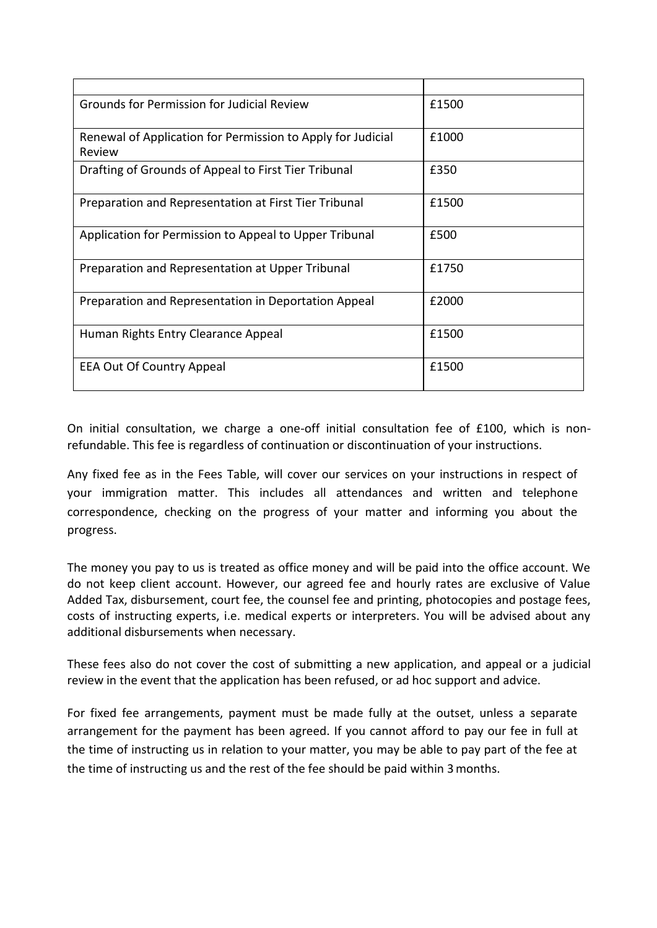| Grounds for Permission for Judicial Review                            | £1500 |
|-----------------------------------------------------------------------|-------|
| Renewal of Application for Permission to Apply for Judicial<br>Review | £1000 |
| Drafting of Grounds of Appeal to First Tier Tribunal                  | £350  |
| Preparation and Representation at First Tier Tribunal                 | £1500 |
| Application for Permission to Appeal to Upper Tribunal                | £500  |
| Preparation and Representation at Upper Tribunal                      | £1750 |
| Preparation and Representation in Deportation Appeal                  | £2000 |
| Human Rights Entry Clearance Appeal                                   | £1500 |
| <b>EEA Out Of Country Appeal</b>                                      | £1500 |

On initial consultation, we charge a one-off initial consultation fee of £100, which is nonrefundable. This fee is regardless of continuation or discontinuation of your instructions.

Any fixed fee as in the Fees Table, will cover our services on your instructions in respect of your immigration matter. This includes all attendances and written and telephone correspondence, checking on the progress of your matter and informing you about the progress.

The money you pay to us is treated as office money and will be paid into the office account. We do not keep client account. However, our agreed fee and hourly rates are exclusive of Value Added Tax, disbursement, court fee, the counsel fee and printing, photocopies and postage fees, costs of instructing experts, i.e. medical experts or interpreters. You will be advised about any additional disbursements when necessary.

These fees also do not cover the cost of submitting a new application, and appeal or a judicial review in the event that the application has been refused, or ad hoc support and advice.

For fixed fee arrangements, payment must be made fully at the outset, unless a separate arrangement for the payment has been agreed. If you cannot afford to pay our fee in full at the time of instructing us in relation to your matter, you may be able to pay part of the fee at the time of instructing us and the rest of the fee should be paid within 3months.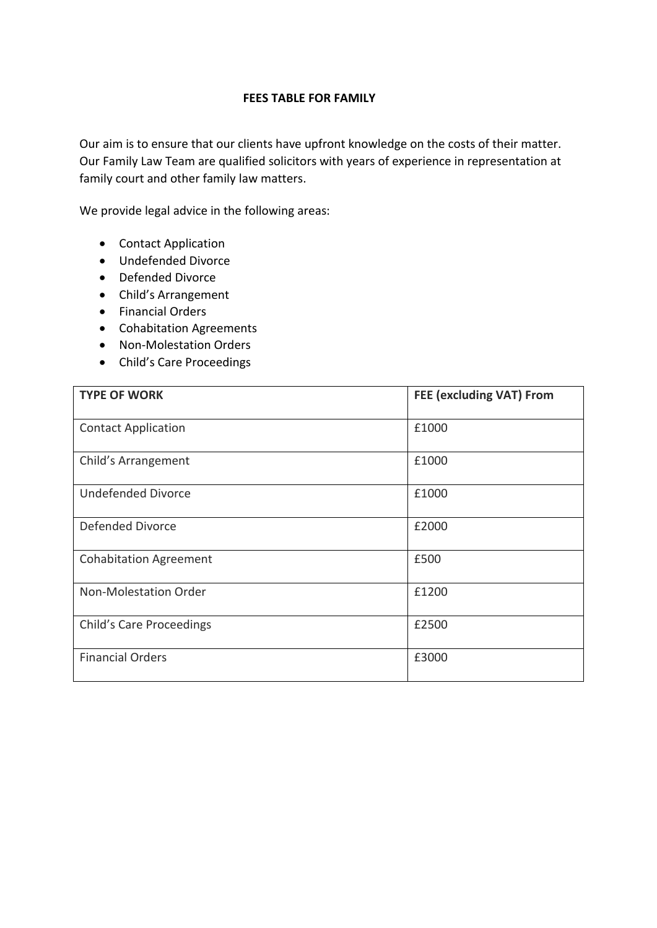### **FEES TABLE FOR FAMILY**

Our aim is to ensure that our clients have upfront knowledge on the costs of their matter. Our Family Law Team are qualified solicitors with years of experience in representation at family court and other family law matters.

We provide legal advice in the following areas:

- Contact Application
- Undefended Divorce
- Defended Divorce
- Child's Arrangement
- Financial Orders
- Cohabitation Agreements
- Non-Molestation Orders
- Child's Care Proceedings

| <b>TYPE OF WORK</b>             | FEE (excluding VAT) From |
|---------------------------------|--------------------------|
| <b>Contact Application</b>      | £1000                    |
| Child's Arrangement             | £1000                    |
| <b>Undefended Divorce</b>       | £1000                    |
| Defended Divorce                | £2000                    |
| <b>Cohabitation Agreement</b>   | £500                     |
| Non-Molestation Order           | £1200                    |
| <b>Child's Care Proceedings</b> | £2500                    |
| <b>Financial Orders</b>         | £3000                    |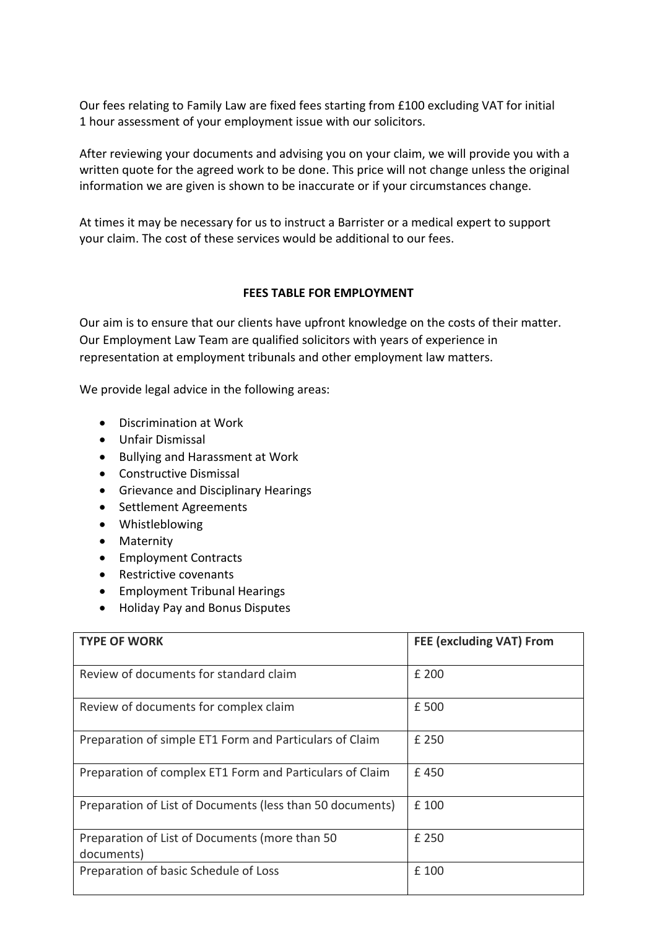Our fees relating to Family Law are fixed fees starting from £100 excluding VAT for initial 1 hour assessment of your employment issue with our solicitors.

After reviewing your documents and advising you on your claim, we will provide you with a written quote for the agreed work to be done. This price will not change unless the original information we are given is shown to be inaccurate or if your circumstances change.

At times it may be necessary for us to instruct a Barrister or a medical expert to support your claim. The cost of these services would be additional to our fees.

## **FEES TABLE FOR EMPLOYMENT**

Our aim is to ensure that our clients have upfront knowledge on the costs of their matter. Our Employment Law Team are qualified solicitors with years of experience in representation at employment tribunals and other employment law matters.

We provide legal advice in the following areas:

- Discrimination at Work
- Unfair Dismissal
- Bullying and Harassment at Work
- Constructive Dismissal
- Grievance and Disciplinary Hearings
- Settlement Agreements
- Whistleblowing
- Maternity
- Employment Contracts
- Restrictive covenants
- Employment Tribunal Hearings
- Holiday Pay and Bonus Disputes

| <b>TYPE OF WORK</b>                                          | FEE (excluding VAT) From |
|--------------------------------------------------------------|--------------------------|
| Review of documents for standard claim                       | £ 200                    |
| Review of documents for complex claim                        | £ 500                    |
| Preparation of simple ET1 Form and Particulars of Claim      | £ 250                    |
| Preparation of complex ET1 Form and Particulars of Claim     | £450                     |
| Preparation of List of Documents (less than 50 documents)    | £ 100                    |
| Preparation of List of Documents (more than 50<br>documents) | £ 250                    |
| Preparation of basic Schedule of Loss                        | £ 100                    |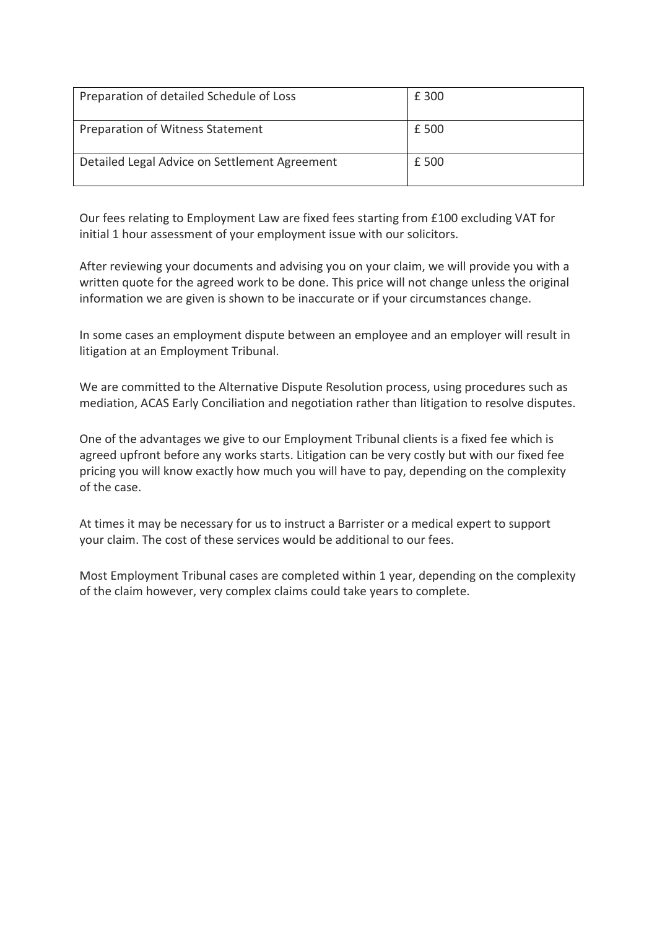| Preparation of detailed Schedule of Loss      | £ 300 |
|-----------------------------------------------|-------|
| Preparation of Witness Statement              | £ 500 |
| Detailed Legal Advice on Settlement Agreement | £ 500 |

Our fees relating to Employment Law are fixed fees starting from £100 excluding VAT for initial 1 hour assessment of your employment issue with our solicitors.

After reviewing your documents and advising you on your claim, we will provide you with a written quote for the agreed work to be done. This price will not change unless the original information we are given is shown to be inaccurate or if your circumstances change.

In some cases an employment dispute between an employee and an employer will result in litigation at an Employment Tribunal.

We are committed to the Alternative Dispute Resolution process, using procedures such as mediation, ACAS Early Conciliation and negotiation rather than litigation to resolve disputes.

One of the advantages we give to our Employment Tribunal clients is a fixed fee which is agreed upfront before any works starts. Litigation can be very costly but with our fixed fee pricing you will know exactly how much you will have to pay, depending on the complexity of the case.

At times it may be necessary for us to instruct a Barrister or a medical expert to support your claim. The cost of these services would be additional to our fees.

Most Employment Tribunal cases are completed within 1 year, depending on the complexity of the claim however, very complex claims could take years to complete.